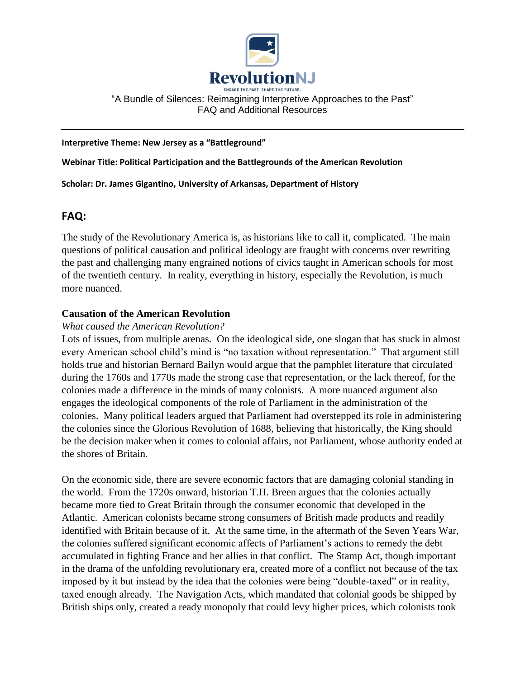

FAQ and Additional Resources

**Interpretive Theme: New Jersey as a "Battleground"**

**Webinar Title: Political Participation and the Battlegrounds of the American Revolution**

**Scholar: Dr. James Gigantino, University of Arkansas, Department of History**

# **FAQ:**

The study of the Revolutionary America is, as historians like to call it, complicated. The main questions of political causation and political ideology are fraught with concerns over rewriting the past and challenging many engrained notions of civics taught in American schools for most of the twentieth century. In reality, everything in history, especially the Revolution, is much more nuanced.

## **Causation of the American Revolution**

## *What caused the American Revolution?*

Lots of issues, from multiple arenas. On the ideological side, one slogan that has stuck in almost every American school child's mind is "no taxation without representation." That argument still holds true and historian Bernard Bailyn would argue that the pamphlet literature that circulated during the 1760s and 1770s made the strong case that representation, or the lack thereof, for the colonies made a difference in the minds of many colonists. A more nuanced argument also engages the ideological components of the role of Parliament in the administration of the colonies. Many political leaders argued that Parliament had overstepped its role in administering the colonies since the Glorious Revolution of 1688, believing that historically, the King should be the decision maker when it comes to colonial affairs, not Parliament, whose authority ended at the shores of Britain.

On the economic side, there are severe economic factors that are damaging colonial standing in the world. From the 1720s onward, historian T.H. Breen argues that the colonies actually became more tied to Great Britain through the consumer economic that developed in the Atlantic. American colonists became strong consumers of British made products and readily identified with Britain because of it. At the same time, in the aftermath of the Seven Years War, the colonies suffered significant economic affects of Parliament's actions to remedy the debt accumulated in fighting France and her allies in that conflict. The Stamp Act, though important in the drama of the unfolding revolutionary era, created more of a conflict not because of the tax imposed by it but instead by the idea that the colonies were being "double-taxed" or in reality, taxed enough already. The Navigation Acts, which mandated that colonial goods be shipped by British ships only, created a ready monopoly that could levy higher prices, which colonists took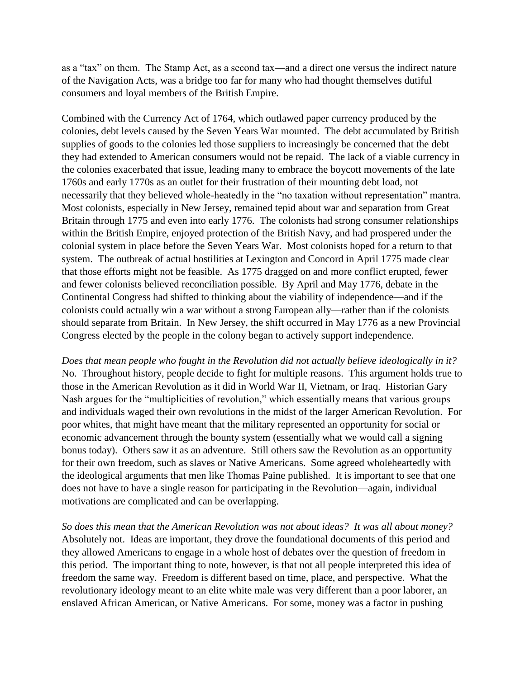as a "tax" on them. The Stamp Act, as a second tax—and a direct one versus the indirect nature of the Navigation Acts, was a bridge too far for many who had thought themselves dutiful consumers and loyal members of the British Empire.

Combined with the Currency Act of 1764, which outlawed paper currency produced by the colonies, debt levels caused by the Seven Years War mounted. The debt accumulated by British supplies of goods to the colonies led those suppliers to increasingly be concerned that the debt they had extended to American consumers would not be repaid. The lack of a viable currency in the colonies exacerbated that issue, leading many to embrace the boycott movements of the late 1760s and early 1770s as an outlet for their frustration of their mounting debt load, not necessarily that they believed whole-heatedly in the "no taxation without representation" mantra. Most colonists, especially in New Jersey, remained tepid about war and separation from Great Britain through 1775 and even into early 1776. The colonists had strong consumer relationships within the British Empire, enjoyed protection of the British Navy, and had prospered under the colonial system in place before the Seven Years War. Most colonists hoped for a return to that system. The outbreak of actual hostilities at Lexington and Concord in April 1775 made clear that those efforts might not be feasible. As 1775 dragged on and more conflict erupted, fewer and fewer colonists believed reconciliation possible. By April and May 1776, debate in the Continental Congress had shifted to thinking about the viability of independence—and if the colonists could actually win a war without a strong European ally—rather than if the colonists should separate from Britain. In New Jersey, the shift occurred in May 1776 as a new Provincial Congress elected by the people in the colony began to actively support independence.

*Does that mean people who fought in the Revolution did not actually believe ideologically in it?* No. Throughout history, people decide to fight for multiple reasons. This argument holds true to those in the American Revolution as it did in World War II, Vietnam, or Iraq. Historian Gary Nash argues for the "multiplicities of revolution," which essentially means that various groups and individuals waged their own revolutions in the midst of the larger American Revolution. For poor whites, that might have meant that the military represented an opportunity for social or economic advancement through the bounty system (essentially what we would call a signing bonus today). Others saw it as an adventure. Still others saw the Revolution as an opportunity for their own freedom, such as slaves or Native Americans. Some agreed wholeheartedly with the ideological arguments that men like Thomas Paine published. It is important to see that one does not have to have a single reason for participating in the Revolution—again, individual motivations are complicated and can be overlapping.

*So does this mean that the American Revolution was not about ideas? It was all about money?* Absolutely not. Ideas are important, they drove the foundational documents of this period and they allowed Americans to engage in a whole host of debates over the question of freedom in this period. The important thing to note, however, is that not all people interpreted this idea of freedom the same way. Freedom is different based on time, place, and perspective. What the revolutionary ideology meant to an elite white male was very different than a poor laborer, an enslaved African American, or Native Americans. For some, money was a factor in pushing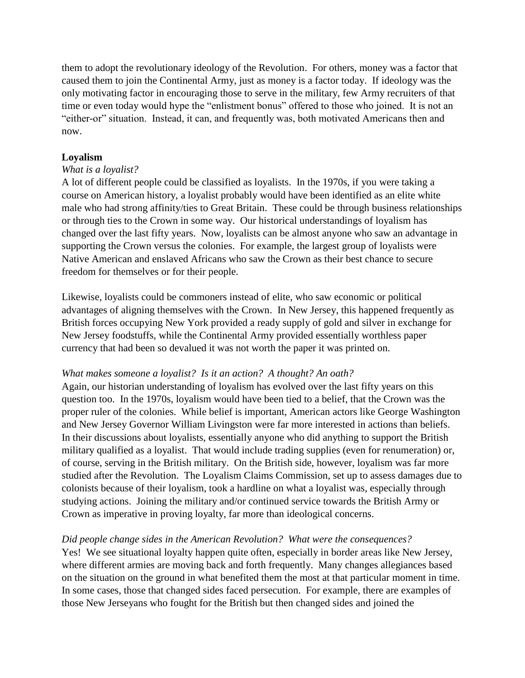them to adopt the revolutionary ideology of the Revolution. For others, money was a factor that caused them to join the Continental Army, just as money is a factor today. If ideology was the only motivating factor in encouraging those to serve in the military, few Army recruiters of that time or even today would hype the "enlistment bonus" offered to those who joined. It is not an "either-or" situation. Instead, it can, and frequently was, both motivated Americans then and now.

### **Loyalism**

## *What is a loyalist?*

A lot of different people could be classified as loyalists. In the 1970s, if you were taking a course on American history, a loyalist probably would have been identified as an elite white male who had strong affinity/ties to Great Britain. These could be through business relationships or through ties to the Crown in some way. Our historical understandings of loyalism has changed over the last fifty years. Now, loyalists can be almost anyone who saw an advantage in supporting the Crown versus the colonies. For example, the largest group of loyalists were Native American and enslaved Africans who saw the Crown as their best chance to secure freedom for themselves or for their people.

Likewise, loyalists could be commoners instead of elite, who saw economic or political advantages of aligning themselves with the Crown. In New Jersey, this happened frequently as British forces occupying New York provided a ready supply of gold and silver in exchange for New Jersey foodstuffs, while the Continental Army provided essentially worthless paper currency that had been so devalued it was not worth the paper it was printed on.

#### *What makes someone a loyalist? Is it an action? A thought? An oath?*

Again, our historian understanding of loyalism has evolved over the last fifty years on this question too. In the 1970s, loyalism would have been tied to a belief, that the Crown was the proper ruler of the colonies. While belief is important, American actors like George Washington and New Jersey Governor William Livingston were far more interested in actions than beliefs. In their discussions about loyalists, essentially anyone who did anything to support the British military qualified as a loyalist. That would include trading supplies (even for renumeration) or, of course, serving in the British military. On the British side, however, loyalism was far more studied after the Revolution. The Loyalism Claims Commission, set up to assess damages due to colonists because of their loyalism, took a hardline on what a loyalist was, especially through studying actions. Joining the military and/or continued service towards the British Army or Crown as imperative in proving loyalty, far more than ideological concerns.

#### *Did people change sides in the American Revolution? What were the consequences?*

Yes! We see situational loyalty happen quite often, especially in border areas like New Jersey, where different armies are moving back and forth frequently. Many changes allegiances based on the situation on the ground in what benefited them the most at that particular moment in time. In some cases, those that changed sides faced persecution. For example, there are examples of those New Jerseyans who fought for the British but then changed sides and joined the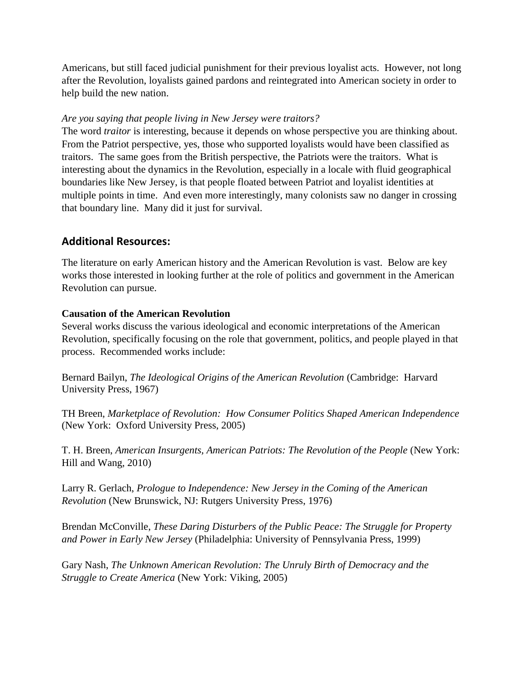Americans, but still faced judicial punishment for their previous loyalist acts. However, not long after the Revolution, loyalists gained pardons and reintegrated into American society in order to help build the new nation.

### *Are you saying that people living in New Jersey were traitors?*

The word *traitor* is interesting, because it depends on whose perspective you are thinking about. From the Patriot perspective, yes, those who supported loyalists would have been classified as traitors. The same goes from the British perspective, the Patriots were the traitors. What is interesting about the dynamics in the Revolution, especially in a locale with fluid geographical boundaries like New Jersey, is that people floated between Patriot and loyalist identities at multiple points in time. And even more interestingly, many colonists saw no danger in crossing that boundary line. Many did it just for survival.

# **Additional Resources:**

The literature on early American history and the American Revolution is vast. Below are key works those interested in looking further at the role of politics and government in the American Revolution can pursue.

## **Causation of the American Revolution**

Several works discuss the various ideological and economic interpretations of the American Revolution, specifically focusing on the role that government, politics, and people played in that process. Recommended works include:

Bernard Bailyn, *The Ideological Origins of the American Revolution* (Cambridge: Harvard University Press, 1967)

TH Breen, *Marketplace of Revolution: How Consumer Politics Shaped American Independence*  (New York: Oxford University Press, 2005)

T. H. Breen, *American Insurgents, American Patriots: The Revolution of the People* (New York: Hill and Wang, 2010)

Larry R. Gerlach, *Prologue to Independence: New Jersey in the Coming of the American Revolution* (New Brunswick, NJ: Rutgers University Press, 1976)

Brendan McConville, *These Daring Disturbers of the Public Peace: The Struggle for Property and Power in Early New Jersey* (Philadelphia: University of Pennsylvania Press, 1999)

Gary Nash, *The Unknown American Revolution: The Unruly Birth of Democracy and the Struggle to Create America* (New York: Viking, 2005)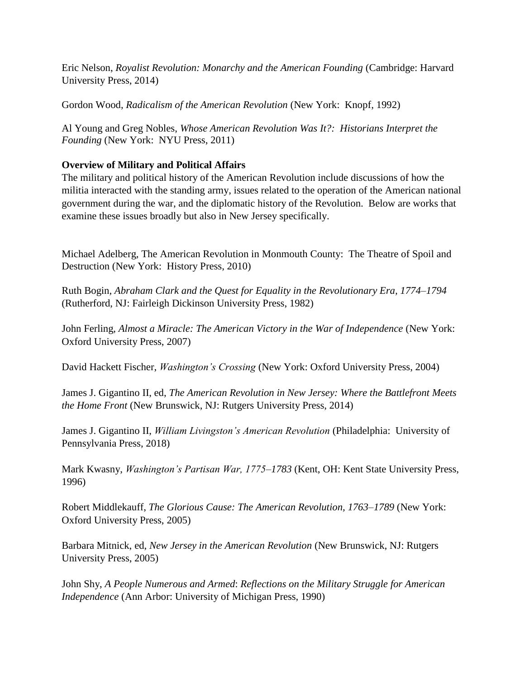Eric Nelson, *Royalist Revolution: Monarchy and the American Founding* (Cambridge: Harvard University Press, 2014)

Gordon Wood, *Radicalism of the American Revolution* (New York: Knopf, 1992)

Al Young and Greg Nobles, *Whose American Revolution Was It?: Historians Interpret the Founding* (New York: NYU Press, 2011)

# **Overview of Military and Political Affairs**

The military and political history of the American Revolution include discussions of how the militia interacted with the standing army, issues related to the operation of the American national government during the war, and the diplomatic history of the Revolution. Below are works that examine these issues broadly but also in New Jersey specifically.

Michael Adelberg, The American Revolution in Monmouth County: The Theatre of Spoil and Destruction (New York: History Press, 2010)

Ruth Bogin, *Abraham Clark and the Quest for Equality in the Revolutionary Era, 1774–1794*  (Rutherford, NJ: Fairleigh Dickinson University Press, 1982)

John Ferling, *Almost a Miracle: The American Victory in the War of Independence* (New York: Oxford University Press, 2007)

David Hackett Fischer, *Washington's Crossing* (New York: Oxford University Press, 2004)

James J. Gigantino II, ed, *The American Revolution in New Jersey: Where the Battlefront Meets the Home Front* (New Brunswick, NJ: Rutgers University Press, 2014)

James J. Gigantino II, *William Livingston's American Revolution* (Philadelphia: University of Pennsylvania Press, 2018)

Mark Kwasny, *Washington's Partisan War, 1775–1783* (Kent, OH: Kent State University Press, 1996)

Robert Middlekauff, *The Glorious Cause: The American Revolution, 1763–1789* (New York: Oxford University Press, 2005)

Barbara Mitnick, ed, *New Jersey in the American Revolution* (New Brunswick, NJ: Rutgers University Press, 2005)

John Shy, *A People Numerous and Armed*: *Reflections on the Military Struggle for American Independence* (Ann Arbor: University of Michigan Press, 1990)